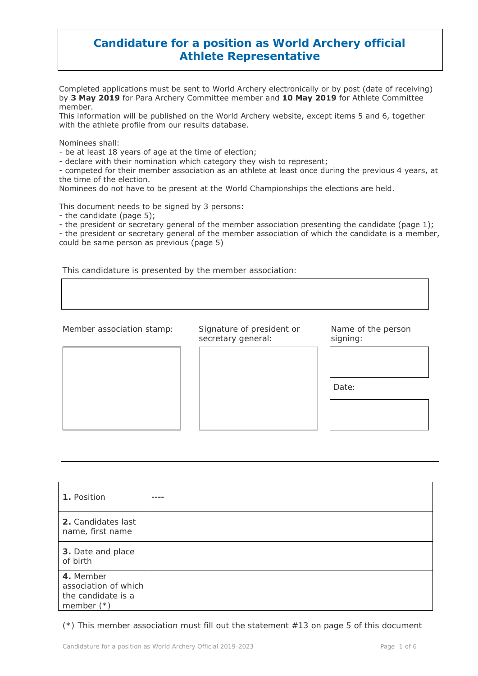#### **Candidature for a position as World Archery official Athlete Representative**

Completed applications must be sent to World Archery electronically or by post (date of receiving) by **3 May 2019** for Para Archery Committee member and **10 May 2019** for Athlete Committee member.

This information will be published on the World Archery website, except items 5 and 6, together with the athlete profile from our results database.

Nominees shall:

- be at least 18 years of age at the time of election;

- declare with their nomination which category they wish to represent;

- competed for their member association as an athlete at least once during the previous 4 years, at the time of the election.

Nominees do not have to be present at the World Championships the elections are held.

This document needs to be signed by 3 persons:

- the candidate (page 5);

- the president or secretary general of the member association presenting the candidate (page 1);

- the president or secretary general of the member association of which the candidate is a member, could be same person as previous (page 5)

This candidature is presented by the member association:

Member association stamp: Signature of president or Name of the person secretary general: signing:



| 1. Position                                                             |  |
|-------------------------------------------------------------------------|--|
| 2. Candidates last<br>name, first name                                  |  |
| 3. Date and place<br>of birth                                           |  |
| 4. Member<br>association of which<br>the candidate is a<br>member $(*)$ |  |

(\*) This member association must fill out the statement #13 on page 5 of this document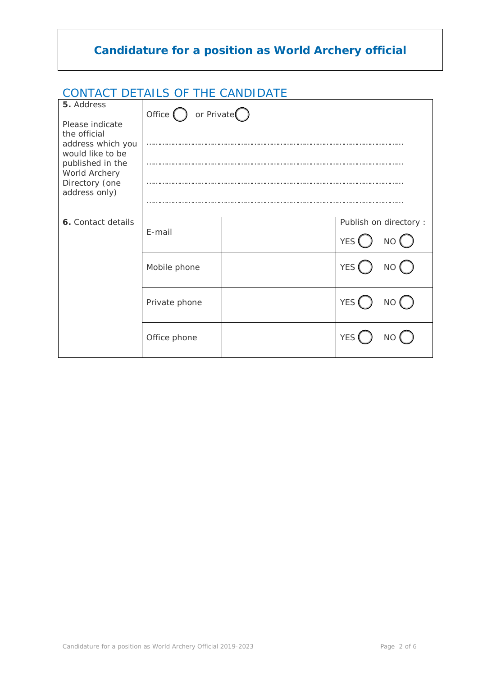### CONTACT DETAILS OF THE CANDIDATE

| 5. Address                                                                                                                                       | Office $\bigcap$ or Private $\bigcap$ |  |                                             |  |
|--------------------------------------------------------------------------------------------------------------------------------------------------|---------------------------------------|--|---------------------------------------------|--|
| Please indicate<br>the official<br>address which you<br>would like to be<br>published in the<br>World Archery<br>Directory (one<br>address only) |                                       |  |                                             |  |
|                                                                                                                                                  |                                       |  |                                             |  |
| 6. Contact details                                                                                                                               | E-mail                                |  | Publish on directory :<br><b>YES</b><br>NO( |  |
|                                                                                                                                                  | Mobile phone                          |  | <b>YES</b><br>NO (                          |  |
|                                                                                                                                                  | Private phone                         |  | <b>YES</b><br>NO (                          |  |
|                                                                                                                                                  | Office phone                          |  | <b>YES</b>                                  |  |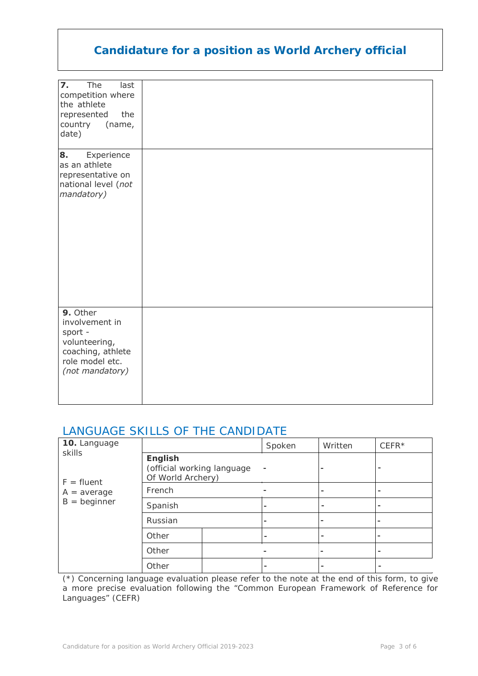| $\mathbf{z}$ .<br>The<br>last<br>competition where<br>the athlete<br>the<br>represented<br>country<br>(name,<br>date) |  |
|-----------------------------------------------------------------------------------------------------------------------|--|
| 8.<br>Experience<br>as an athlete<br>representative on<br>national level (not<br>mandatory)                           |  |
| 9. Other<br>involvement in<br>sport -<br>volunteering,<br>coaching, athlete<br>role model etc.<br>(not mandatory)     |  |

### LANGUAGE SKILLS OF THE CANDIDATE

| 10. Language                                              |                                                            |  | Spoken | Written                  | $CEFFR*$       |
|-----------------------------------------------------------|------------------------------------------------------------|--|--------|--------------------------|----------------|
| skills<br>$F =$ fluent<br>$A = average$<br>$B =$ beginner | English<br>(official working language<br>Of World Archery) |  |        |                          |                |
|                                                           | French                                                     |  |        | $\overline{\phantom{0}}$ |                |
|                                                           | Spanish                                                    |  |        | $\overline{\phantom{0}}$ |                |
|                                                           | Russian                                                    |  |        | $\overline{\phantom{0}}$ |                |
|                                                           | Other                                                      |  |        | $\overline{\phantom{0}}$ |                |
|                                                           | Other                                                      |  |        |                          | $\blacksquare$ |
|                                                           | Other                                                      |  |        | $\overline{\phantom{0}}$ |                |

(\*) Concerning language evaluation please refer to the note at the end of this form, to give a more precise evaluation following the "Common European Framework of Reference for Languages" (CEFR)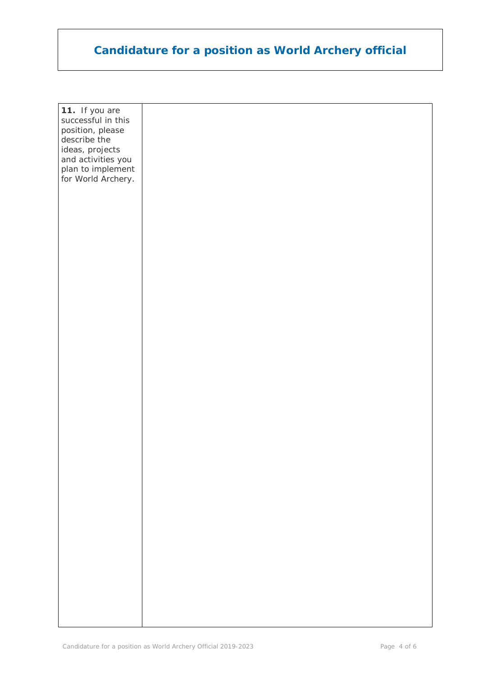| 11. If you are<br>successful in this    |  |
|-----------------------------------------|--|
| position, please                        |  |
| describe the<br>ideas, projects         |  |
| and activities you<br>plan to implement |  |
| for World Archery.                      |  |
|                                         |  |
|                                         |  |
|                                         |  |
|                                         |  |
|                                         |  |
|                                         |  |
|                                         |  |
|                                         |  |
|                                         |  |
|                                         |  |
|                                         |  |
|                                         |  |
|                                         |  |
|                                         |  |
|                                         |  |
|                                         |  |
|                                         |  |
|                                         |  |
|                                         |  |
|                                         |  |
|                                         |  |
|                                         |  |
|                                         |  |
|                                         |  |
|                                         |  |
|                                         |  |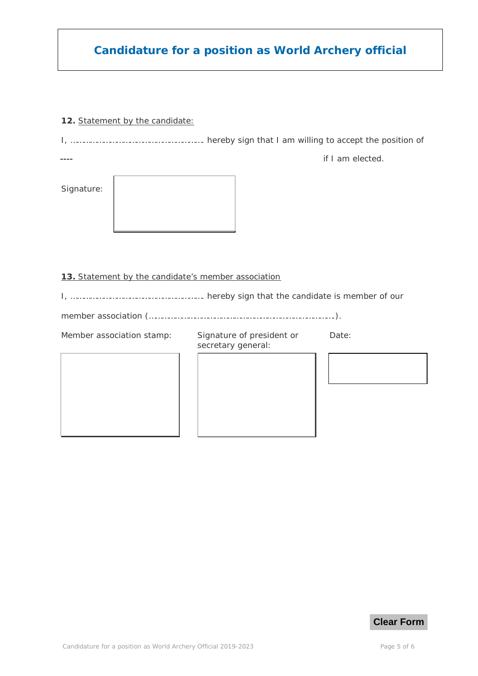#### **12.** Statement by the candidate*:*

I, ……………………………………………………. hereby sign that I am willing to accept the position of

----

if I am elected.

Signature:

| ٠ |  |
|---|--|
|   |  |
|   |  |
|   |  |

#### **13.** Statement by the candidate's member association

I, ……………………………………………………. hereby sign that the candidate is member of our

member association (………………………………………………………………………….).

Member association stamp: Signature of president or secretary general:

Date: